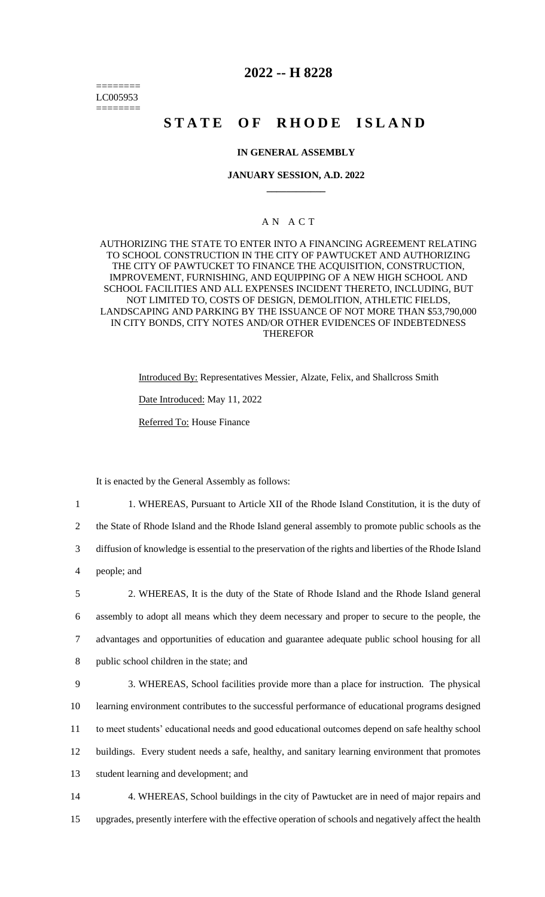======== LC005953 ========

# **2022 -- H 8228**

# **STATE OF RHODE ISLAND**

# **IN GENERAL ASSEMBLY**

## **JANUARY SESSION, A.D. 2022 \_\_\_\_\_\_\_\_\_\_\_\_**

# A N A C T

AUTHORIZING THE STATE TO ENTER INTO A FINANCING AGREEMENT RELATING TO SCHOOL CONSTRUCTION IN THE CITY OF PAWTUCKET AND AUTHORIZING THE CITY OF PAWTUCKET TO FINANCE THE ACQUISITION, CONSTRUCTION, IMPROVEMENT, FURNISHING, AND EQUIPPING OF A NEW HIGH SCHOOL AND SCHOOL FACILITIES AND ALL EXPENSES INCIDENT THERETO, INCLUDING, BUT NOT LIMITED TO, COSTS OF DESIGN, DEMOLITION, ATHLETIC FIELDS, LANDSCAPING AND PARKING BY THE ISSUANCE OF NOT MORE THAN \$53,790,000 IN CITY BONDS, CITY NOTES AND/OR OTHER EVIDENCES OF INDEBTEDNESS THEREFOR

> Introduced By: Representatives Messier, Alzate, Felix, and Shallcross Smith Date Introduced: May 11, 2022 Referred To: House Finance

It is enacted by the General Assembly as follows:

 1. WHEREAS, Pursuant to Article XII of the Rhode Island Constitution, it is the duty of the State of Rhode Island and the Rhode Island general assembly to promote public schools as the diffusion of knowledge is essential to the preservation of the rights and liberties of the Rhode Island people; and 2. WHEREAS, It is the duty of the State of Rhode Island and the Rhode Island general assembly to adopt all means which they deem necessary and proper to secure to the people, the advantages and opportunities of education and guarantee adequate public school housing for all public school children in the state; and

 3. WHEREAS, School facilities provide more than a place for instruction. The physical learning environment contributes to the successful performance of educational programs designed to meet students' educational needs and good educational outcomes depend on safe healthy school buildings. Every student needs a safe, healthy, and sanitary learning environment that promotes student learning and development; and

14 4. WHEREAS, School buildings in the city of Pawtucket are in need of major repairs and 15 upgrades, presently interfere with the effective operation of schools and negatively affect the health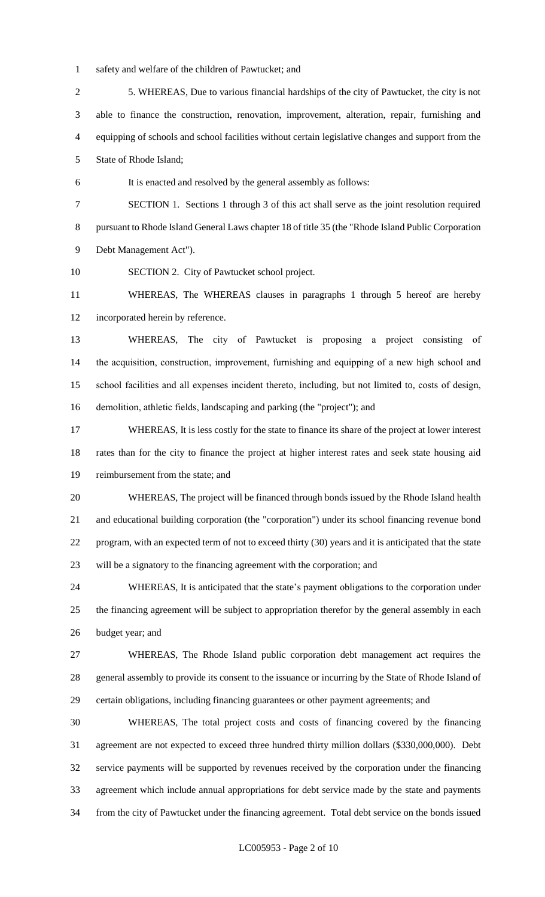- safety and welfare of the children of Pawtucket; and
- 5. WHEREAS, Due to various financial hardships of the city of Pawtucket, the city is not able to finance the construction, renovation, improvement, alteration, repair, furnishing and equipping of schools and school facilities without certain legislative changes and support from the State of Rhode Island;
- It is enacted and resolved by the general assembly as follows:
- SECTION 1. Sections 1 through 3 of this act shall serve as the joint resolution required pursuant to Rhode Island General Laws chapter 18 of title 35 (the "Rhode Island Public Corporation Debt Management Act").
- SECTION 2. City of Pawtucket school project.

 WHEREAS, The WHEREAS clauses in paragraphs 1 through 5 hereof are hereby incorporated herein by reference.

 WHEREAS, The city of Pawtucket is proposing a project consisting of the acquisition, construction, improvement, furnishing and equipping of a new high school and school facilities and all expenses incident thereto, including, but not limited to, costs of design, demolition, athletic fields, landscaping and parking (the "project"); and

 WHEREAS, It is less costly for the state to finance its share of the project at lower interest rates than for the city to finance the project at higher interest rates and seek state housing aid reimbursement from the state; and

 WHEREAS, The project will be financed through bonds issued by the Rhode Island health and educational building corporation (the "corporation") under its school financing revenue bond program, with an expected term of not to exceed thirty (30) years and it is anticipated that the state will be a signatory to the financing agreement with the corporation; and

 WHEREAS, It is anticipated that the state's payment obligations to the corporation under the financing agreement will be subject to appropriation therefor by the general assembly in each budget year; and

 WHEREAS, The Rhode Island public corporation debt management act requires the general assembly to provide its consent to the issuance or incurring by the State of Rhode Island of certain obligations, including financing guarantees or other payment agreements; and

 WHEREAS, The total project costs and costs of financing covered by the financing agreement are not expected to exceed three hundred thirty million dollars (\$330,000,000). Debt service payments will be supported by revenues received by the corporation under the financing agreement which include annual appropriations for debt service made by the state and payments from the city of Pawtucket under the financing agreement. Total debt service on the bonds issued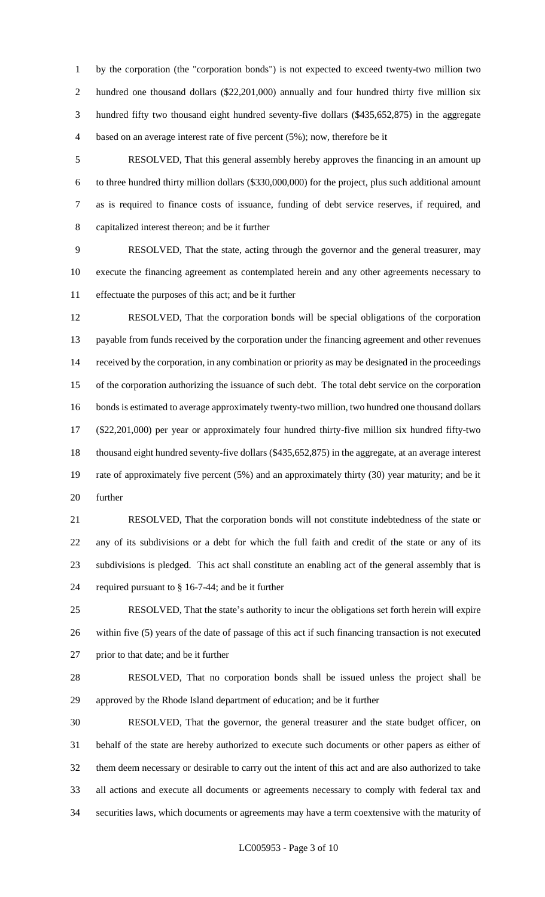by the corporation (the "corporation bonds") is not expected to exceed twenty-two million two 2 hundred one thousand dollars (\$22,201,000) annually and four hundred thirty five million six hundred fifty two thousand eight hundred seventy-five dollars (\$435,652,875) in the aggregate based on an average interest rate of five percent (5%); now, therefore be it

 RESOLVED, That this general assembly hereby approves the financing in an amount up to three hundred thirty million dollars (\$330,000,000) for the project, plus such additional amount as is required to finance costs of issuance, funding of debt service reserves, if required, and capitalized interest thereon; and be it further

 RESOLVED, That the state, acting through the governor and the general treasurer, may execute the financing agreement as contemplated herein and any other agreements necessary to effectuate the purposes of this act; and be it further

 RESOLVED, That the corporation bonds will be special obligations of the corporation 13 payable from funds received by the corporation under the financing agreement and other revenues received by the corporation, in any combination or priority as may be designated in the proceedings of the corporation authorizing the issuance of such debt. The total debt service on the corporation bonds is estimated to average approximately twenty-two million, two hundred one thousand dollars (\$22,201,000) per year or approximately four hundred thirty-five million six hundred fifty-two thousand eight hundred seventy-five dollars (\$435,652,875) in the aggregate, at an average interest rate of approximately five percent (5%) and an approximately thirty (30) year maturity; and be it further

 RESOLVED, That the corporation bonds will not constitute indebtedness of the state or any of its subdivisions or a debt for which the full faith and credit of the state or any of its subdivisions is pledged. This act shall constitute an enabling act of the general assembly that is required pursuant to § 16-7-44; and be it further

 RESOLVED, That the state's authority to incur the obligations set forth herein will expire within five (5) years of the date of passage of this act if such financing transaction is not executed prior to that date; and be it further

 RESOLVED, That no corporation bonds shall be issued unless the project shall be approved by the Rhode Island department of education; and be it further

 RESOLVED, That the governor, the general treasurer and the state budget officer, on behalf of the state are hereby authorized to execute such documents or other papers as either of them deem necessary or desirable to carry out the intent of this act and are also authorized to take all actions and execute all documents or agreements necessary to comply with federal tax and securities laws, which documents or agreements may have a term coextensive with the maturity of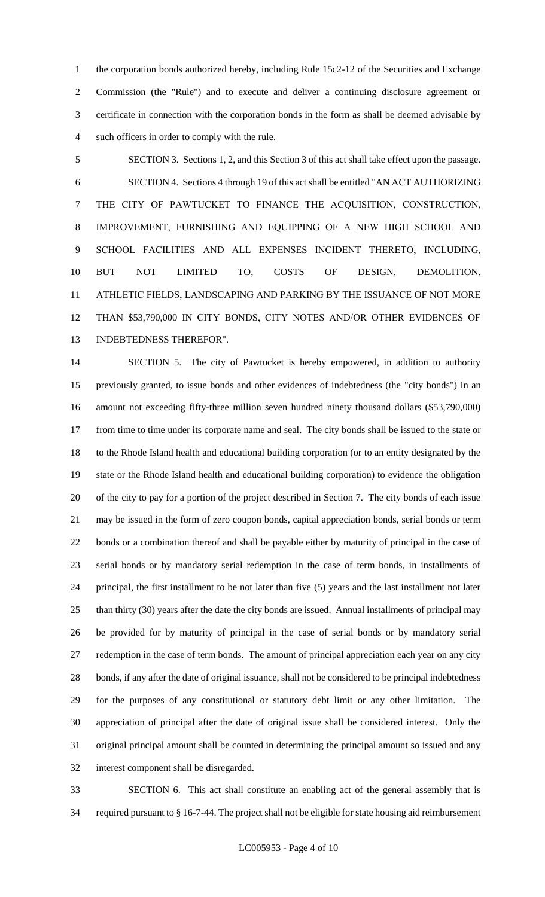1 the corporation bonds authorized hereby, including Rule 15c2-12 of the Securities and Exchange Commission (the "Rule") and to execute and deliver a continuing disclosure agreement or certificate in connection with the corporation bonds in the form as shall be deemed advisable by such officers in order to comply with the rule.

 SECTION 3. Sections 1, 2, and this Section 3 of this act shall take effect upon the passage. SECTION 4. Sections 4 through 19 of this act shall be entitled "AN ACT AUTHORIZING THE CITY OF PAWTUCKET TO FINANCE THE ACQUISITION, CONSTRUCTION, IMPROVEMENT, FURNISHING AND EQUIPPING OF A NEW HIGH SCHOOL AND SCHOOL FACILITIES AND ALL EXPENSES INCIDENT THERETO, INCLUDING, BUT NOT LIMITED TO, COSTS OF DESIGN, DEMOLITION, ATHLETIC FIELDS, LANDSCAPING AND PARKING BY THE ISSUANCE OF NOT MORE THAN \$53,790,000 IN CITY BONDS, CITY NOTES AND/OR OTHER EVIDENCES OF INDEBTEDNESS THEREFOR".

 SECTION 5. The city of Pawtucket is hereby empowered, in addition to authority previously granted, to issue bonds and other evidences of indebtedness (the "city bonds") in an amount not exceeding fifty-three million seven hundred ninety thousand dollars (\$53,790,000) from time to time under its corporate name and seal. The city bonds shall be issued to the state or to the Rhode Island health and educational building corporation (or to an entity designated by the state or the Rhode Island health and educational building corporation) to evidence the obligation of the city to pay for a portion of the project described in Section 7. The city bonds of each issue may be issued in the form of zero coupon bonds, capital appreciation bonds, serial bonds or term bonds or a combination thereof and shall be payable either by maturity of principal in the case of serial bonds or by mandatory serial redemption in the case of term bonds, in installments of principal, the first installment to be not later than five (5) years and the last installment not later than thirty (30) years after the date the city bonds are issued. Annual installments of principal may be provided for by maturity of principal in the case of serial bonds or by mandatory serial redemption in the case of term bonds. The amount of principal appreciation each year on any city bonds, if any after the date of original issuance, shall not be considered to be principal indebtedness for the purposes of any constitutional or statutory debt limit or any other limitation. The appreciation of principal after the date of original issue shall be considered interest. Only the original principal amount shall be counted in determining the principal amount so issued and any interest component shall be disregarded.

 SECTION 6. This act shall constitute an enabling act of the general assembly that is required pursuant to § 16-7-44. The project shall not be eligible for state housing aid reimbursement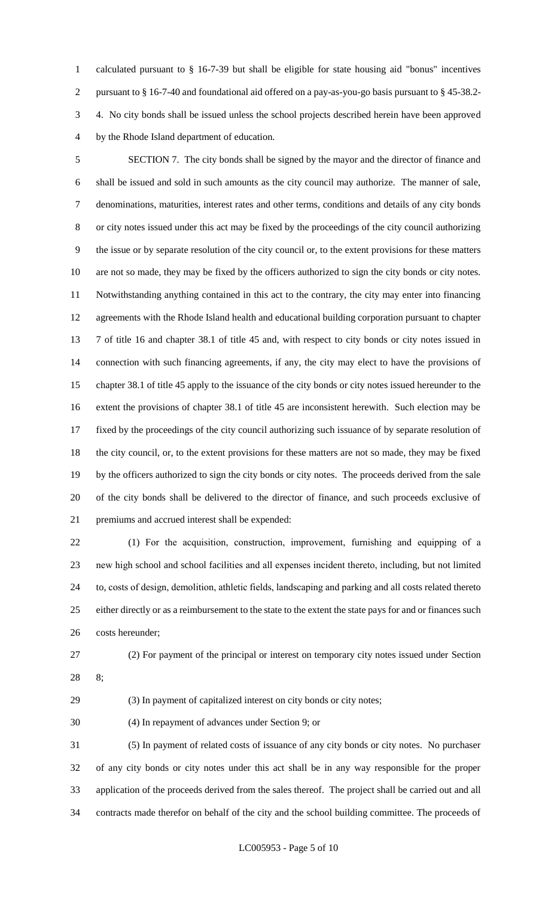calculated pursuant to § 16-7-39 but shall be eligible for state housing aid "bonus" incentives pursuant to § 16-7-40 and foundational aid offered on a pay-as-you-go basis pursuant to § 45-38.2- 4. No city bonds shall be issued unless the school projects described herein have been approved by the Rhode Island department of education.

 SECTION 7. The city bonds shall be signed by the mayor and the director of finance and shall be issued and sold in such amounts as the city council may authorize. The manner of sale, denominations, maturities, interest rates and other terms, conditions and details of any city bonds or city notes issued under this act may be fixed by the proceedings of the city council authorizing the issue or by separate resolution of the city council or, to the extent provisions for these matters are not so made, they may be fixed by the officers authorized to sign the city bonds or city notes. Notwithstanding anything contained in this act to the contrary, the city may enter into financing agreements with the Rhode Island health and educational building corporation pursuant to chapter 7 of title 16 and chapter 38.1 of title 45 and, with respect to city bonds or city notes issued in connection with such financing agreements, if any, the city may elect to have the provisions of chapter 38.1 of title 45 apply to the issuance of the city bonds or city notes issued hereunder to the extent the provisions of chapter 38.1 of title 45 are inconsistent herewith. Such election may be fixed by the proceedings of the city council authorizing such issuance of by separate resolution of the city council, or, to the extent provisions for these matters are not so made, they may be fixed by the officers authorized to sign the city bonds or city notes. The proceeds derived from the sale of the city bonds shall be delivered to the director of finance, and such proceeds exclusive of premiums and accrued interest shall be expended:

 (1) For the acquisition, construction, improvement, furnishing and equipping of a new high school and school facilities and all expenses incident thereto, including, but not limited to, costs of design, demolition, athletic fields, landscaping and parking and all costs related thereto 25 either directly or as a reimbursement to the state to the extent the state pays for and or finances such costs hereunder;

(2) For payment of the principal or interest on temporary city notes issued under Section

8;

(3) In payment of capitalized interest on city bonds or city notes;

(4) In repayment of advances under Section 9; or

 (5) In payment of related costs of issuance of any city bonds or city notes. No purchaser of any city bonds or city notes under this act shall be in any way responsible for the proper application of the proceeds derived from the sales thereof. The project shall be carried out and all contracts made therefor on behalf of the city and the school building committee. The proceeds of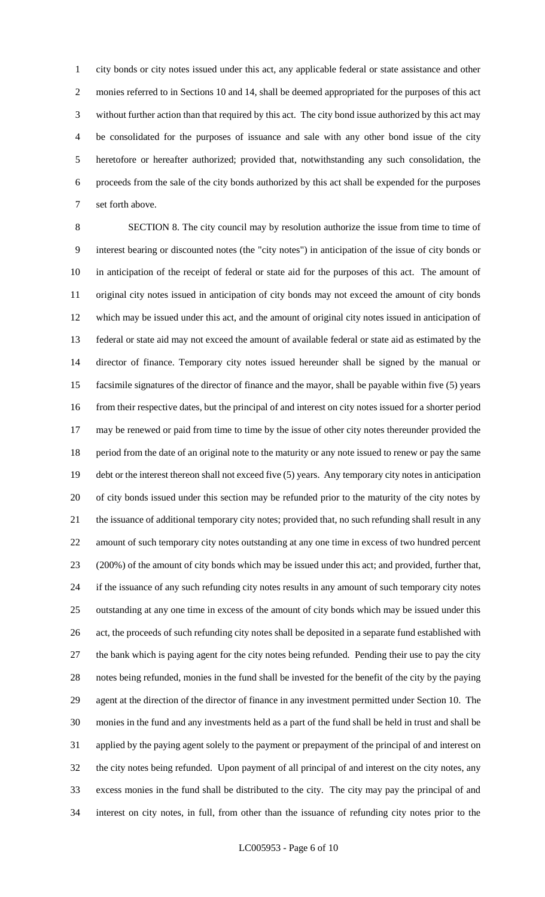city bonds or city notes issued under this act, any applicable federal or state assistance and other monies referred to in Sections 10 and 14, shall be deemed appropriated for the purposes of this act without further action than that required by this act. The city bond issue authorized by this act may be consolidated for the purposes of issuance and sale with any other bond issue of the city heretofore or hereafter authorized; provided that, notwithstanding any such consolidation, the proceeds from the sale of the city bonds authorized by this act shall be expended for the purposes set forth above.

 SECTION 8. The city council may by resolution authorize the issue from time to time of interest bearing or discounted notes (the "city notes") in anticipation of the issue of city bonds or in anticipation of the receipt of federal or state aid for the purposes of this act. The amount of original city notes issued in anticipation of city bonds may not exceed the amount of city bonds which may be issued under this act, and the amount of original city notes issued in anticipation of federal or state aid may not exceed the amount of available federal or state aid as estimated by the director of finance. Temporary city notes issued hereunder shall be signed by the manual or facsimile signatures of the director of finance and the mayor, shall be payable within five (5) years from their respective dates, but the principal of and interest on city notes issued for a shorter period may be renewed or paid from time to time by the issue of other city notes thereunder provided the period from the date of an original note to the maturity or any note issued to renew or pay the same debt or the interest thereon shall not exceed five (5) years. Any temporary city notes in anticipation of city bonds issued under this section may be refunded prior to the maturity of the city notes by the issuance of additional temporary city notes; provided that, no such refunding shall result in any amount of such temporary city notes outstanding at any one time in excess of two hundred percent (200%) of the amount of city bonds which may be issued under this act; and provided, further that, if the issuance of any such refunding city notes results in any amount of such temporary city notes outstanding at any one time in excess of the amount of city bonds which may be issued under this act, the proceeds of such refunding city notes shall be deposited in a separate fund established with the bank which is paying agent for the city notes being refunded. Pending their use to pay the city notes being refunded, monies in the fund shall be invested for the benefit of the city by the paying agent at the direction of the director of finance in any investment permitted under Section 10. The monies in the fund and any investments held as a part of the fund shall be held in trust and shall be applied by the paying agent solely to the payment or prepayment of the principal of and interest on the city notes being refunded. Upon payment of all principal of and interest on the city notes, any excess monies in the fund shall be distributed to the city. The city may pay the principal of and interest on city notes, in full, from other than the issuance of refunding city notes prior to the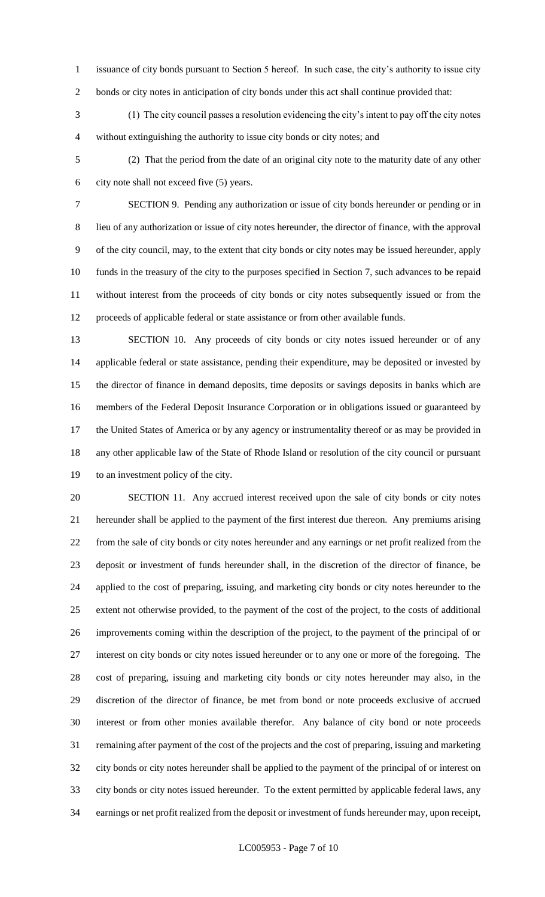- issuance of city bonds pursuant to Section 5 hereof. In such case, the city's authority to issue city
- bonds or city notes in anticipation of city bonds under this act shall continue provided that:

 (1) The city council passes a resolution evidencing the city's intent to pay off the city notes without extinguishing the authority to issue city bonds or city notes; and

 (2) That the period from the date of an original city note to the maturity date of any other city note shall not exceed five (5) years.

 SECTION 9. Pending any authorization or issue of city bonds hereunder or pending or in lieu of any authorization or issue of city notes hereunder, the director of finance, with the approval of the city council, may, to the extent that city bonds or city notes may be issued hereunder, apply funds in the treasury of the city to the purposes specified in Section 7, such advances to be repaid without interest from the proceeds of city bonds or city notes subsequently issued or from the proceeds of applicable federal or state assistance or from other available funds.

 SECTION 10. Any proceeds of city bonds or city notes issued hereunder or of any applicable federal or state assistance, pending their expenditure, may be deposited or invested by the director of finance in demand deposits, time deposits or savings deposits in banks which are members of the Federal Deposit Insurance Corporation or in obligations issued or guaranteed by the United States of America or by any agency or instrumentality thereof or as may be provided in any other applicable law of the State of Rhode Island or resolution of the city council or pursuant to an investment policy of the city.

 SECTION 11. Any accrued interest received upon the sale of city bonds or city notes hereunder shall be applied to the payment of the first interest due thereon. Any premiums arising from the sale of city bonds or city notes hereunder and any earnings or net profit realized from the deposit or investment of funds hereunder shall, in the discretion of the director of finance, be applied to the cost of preparing, issuing, and marketing city bonds or city notes hereunder to the extent not otherwise provided, to the payment of the cost of the project, to the costs of additional improvements coming within the description of the project, to the payment of the principal of or interest on city bonds or city notes issued hereunder or to any one or more of the foregoing. The cost of preparing, issuing and marketing city bonds or city notes hereunder may also, in the discretion of the director of finance, be met from bond or note proceeds exclusive of accrued interest or from other monies available therefor. Any balance of city bond or note proceeds remaining after payment of the cost of the projects and the cost of preparing, issuing and marketing city bonds or city notes hereunder shall be applied to the payment of the principal of or interest on city bonds or city notes issued hereunder. To the extent permitted by applicable federal laws, any earnings or net profit realized from the deposit or investment of funds hereunder may, upon receipt,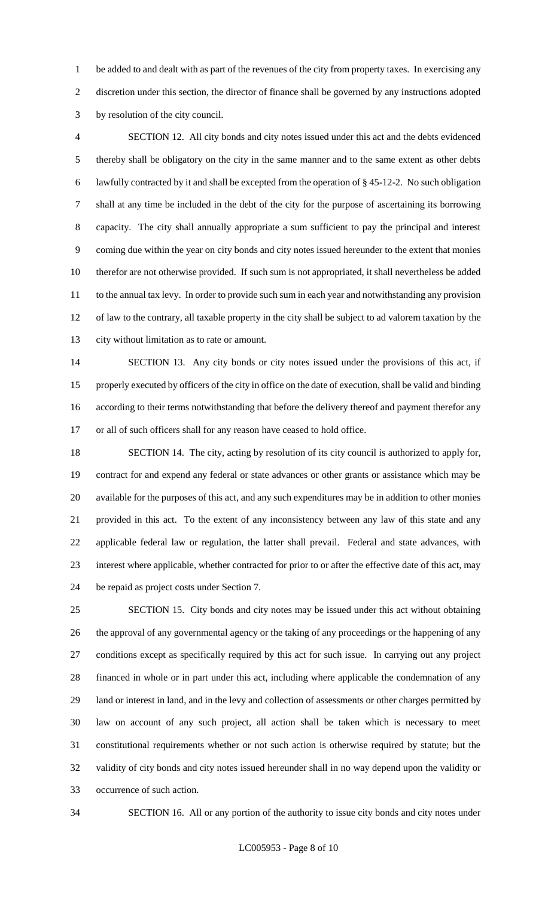be added to and dealt with as part of the revenues of the city from property taxes. In exercising any discretion under this section, the director of finance shall be governed by any instructions adopted by resolution of the city council.

 SECTION 12. All city bonds and city notes issued under this act and the debts evidenced thereby shall be obligatory on the city in the same manner and to the same extent as other debts lawfully contracted by it and shall be excepted from the operation of § 45-12-2. No such obligation shall at any time be included in the debt of the city for the purpose of ascertaining its borrowing capacity. The city shall annually appropriate a sum sufficient to pay the principal and interest coming due within the year on city bonds and city notes issued hereunder to the extent that monies therefor are not otherwise provided. If such sum is not appropriated, it shall nevertheless be added to the annual tax levy. In order to provide such sum in each year and notwithstanding any provision of law to the contrary, all taxable property in the city shall be subject to ad valorem taxation by the city without limitation as to rate or amount.

 SECTION 13. Any city bonds or city notes issued under the provisions of this act, if properly executed by officers of the city in office on the date of execution, shall be valid and binding according to their terms notwithstanding that before the delivery thereof and payment therefor any or all of such officers shall for any reason have ceased to hold office.

 SECTION 14. The city, acting by resolution of its city council is authorized to apply for, contract for and expend any federal or state advances or other grants or assistance which may be available for the purposes of this act, and any such expenditures may be in addition to other monies provided in this act. To the extent of any inconsistency between any law of this state and any applicable federal law or regulation, the latter shall prevail. Federal and state advances, with interest where applicable, whether contracted for prior to or after the effective date of this act, may be repaid as project costs under Section 7.

 SECTION 15. City bonds and city notes may be issued under this act without obtaining the approval of any governmental agency or the taking of any proceedings or the happening of any conditions except as specifically required by this act for such issue. In carrying out any project financed in whole or in part under this act, including where applicable the condemnation of any land or interest in land, and in the levy and collection of assessments or other charges permitted by law on account of any such project, all action shall be taken which is necessary to meet constitutional requirements whether or not such action is otherwise required by statute; but the validity of city bonds and city notes issued hereunder shall in no way depend upon the validity or occurrence of such action.

SECTION 16. All or any portion of the authority to issue city bonds and city notes under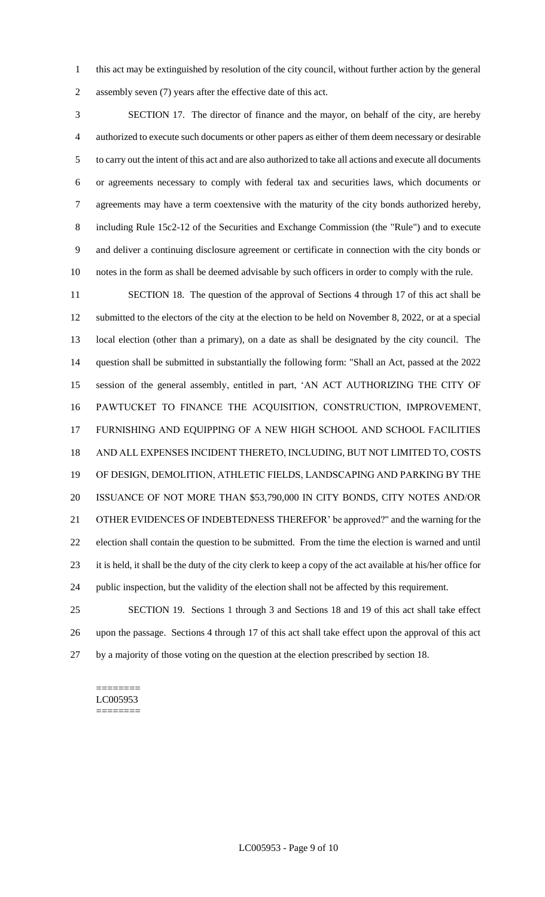this act may be extinguished by resolution of the city council, without further action by the general assembly seven (7) years after the effective date of this act.

 SECTION 17. The director of finance and the mayor, on behalf of the city, are hereby authorized to execute such documents or other papers as either of them deem necessary or desirable to carry out the intent of this act and are also authorized to take all actions and execute all documents or agreements necessary to comply with federal tax and securities laws, which documents or agreements may have a term coextensive with the maturity of the city bonds authorized hereby, including Rule 15c2-12 of the Securities and Exchange Commission (the "Rule") and to execute and deliver a continuing disclosure agreement or certificate in connection with the city bonds or notes in the form as shall be deemed advisable by such officers in order to comply with the rule.

 SECTION 18. The question of the approval of Sections 4 through 17 of this act shall be submitted to the electors of the city at the election to be held on November 8, 2022, or at a special local election (other than a primary), on a date as shall be designated by the city council. The question shall be submitted in substantially the following form: "Shall an Act, passed at the 2022 session of the general assembly, entitled in part, 'AN ACT AUTHORIZING THE CITY OF PAWTUCKET TO FINANCE THE ACQUISITION, CONSTRUCTION, IMPROVEMENT, FURNISHING AND EQUIPPING OF A NEW HIGH SCHOOL AND SCHOOL FACILITIES AND ALL EXPENSES INCIDENT THERETO, INCLUDING, BUT NOT LIMITED TO, COSTS OF DESIGN, DEMOLITION, ATHLETIC FIELDS, LANDSCAPING AND PARKING BY THE ISSUANCE OF NOT MORE THAN \$53,790,000 IN CITY BONDS, CITY NOTES AND/OR OTHER EVIDENCES OF INDEBTEDNESS THEREFOR' be approved?" and the warning for the election shall contain the question to be submitted. From the time the election is warned and until it is held, it shall be the duty of the city clerk to keep a copy of the act available at his/her office for public inspection, but the validity of the election shall not be affected by this requirement.

 SECTION 19. Sections 1 through 3 and Sections 18 and 19 of this act shall take effect upon the passage. Sections 4 through 17 of this act shall take effect upon the approval of this act by a majority of those voting on the question at the election prescribed by section 18.

#### ======== LC005953 ========